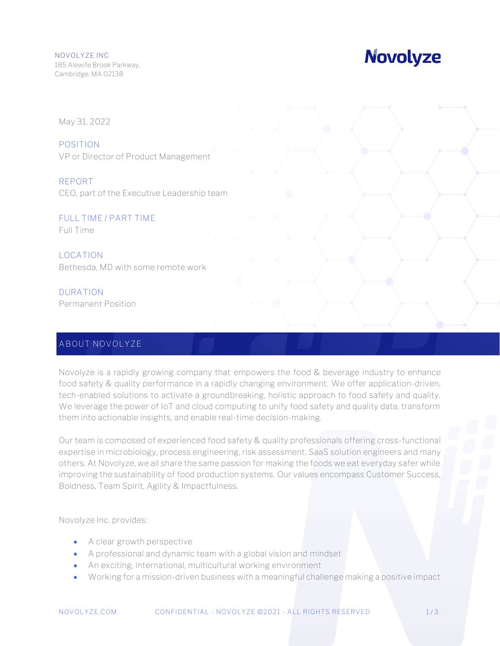# **Novolyze**

May 31, 2022

**POSITION** VP or Director of Product Management

**REPORT** CEO, part of the Executive Leadership team

**FULL TIME / PART TIME** Full Time

**LOCATION** Bethesda, MD with some remote work

**DURATION** Permanent Position

### **ABOUT NOVOLYZE**

Novolyze is a rapidly growing company that empowers the food & beverage industry to enhance food safety & quality performance in a rapidly changing environment. We offer application-driven, tech-enabled solutions to activate a groundbreaking, holistic approach to food safety and quality. We leverage the power of IoT and cloud computing to unify food safety and quality data, transform them into actionable insights, and enable real-time decision-making.

Our team is composed of experienced food safety & quality professionals offering cross-functional expertise in microbiology, process engineering, risk assessment, SaaS solution engineers and many others. At Novolyze, we all share the same passion for making the foods we eat everyday safer while improving the sustainability of food production systems. Our values encompass Customer Success, Boldness, Team Spirit, Agility & Impactfulness.

Novolyze Inc. provides:

- A clear growth perspective
- A professional and dynamic team with a global vision and mindset
- An exciting, international, multicultural working environment
- Working for a mission-driven business with a meaningful challenge making a positive impact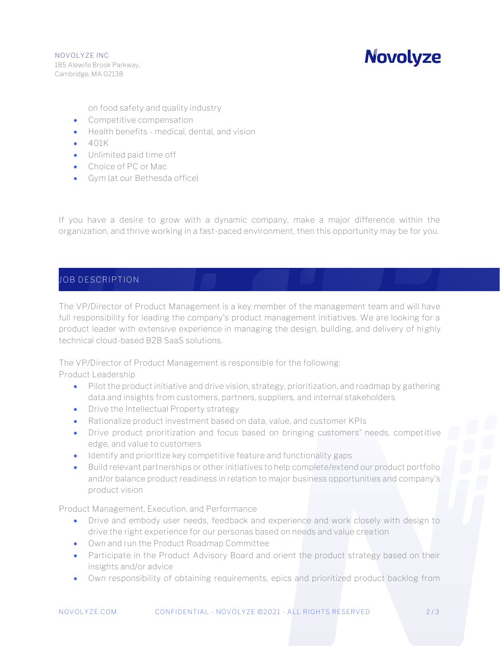NOVOLYZE INC 185 Alewife Brook Parkway, Cambridge, MA 02138

**Novolyze** 

on food safety and quality industry

- Competitive compensation
- Health benefits medical, dental, and vision
- $401K$
- Unlimited paid time off
- Choice of PC or Mac
- Gym (at our Bethesda office)

If you have a desire to grow with a dynamic company, make a major difference within the organization, and thrive working in a fast-paced environment, then this opportunity may be for you.

### **JOB DESCRIPTION**

The VP/Director of Product Management is a key member of the management team and will have full responsibility for leading the company's product management initiatives. We are looking for a product leader with extensive experience in managing the design, building, and delivery of highly technical cloud-based B2B SaaS solutions.

The VP/Director of Product Management is responsible for the following: Product Leadership

- Pilot the product initiative and drive vision, strategy, prioritization, and roadmap by gathering data and insights from customers, partners, suppliers, and internal stakeholders
- Drive the Intellectual Property strategy
- Rationalize product investment based on data, value, and customer KPIs
- Drive product prioritization and focus based on bringing customers' needs, competitive edge, and value to customers
- Identify and prioritize key competitive feature and functionality gaps
- Build relevant partnerships or other initiatives to help complete/extend our product portfolio and/or balance product readiness in relation to major business opportunities and company's product vision

Product Management, Execution, and Performance

- Drive and embody user needs, feedback and experience and work closely with design to drive the right experience for our personas based on needs and value creation
- Own and run the Product Roadmap Committee
- Participate in the Product Advisory Board and orient the product strategy based on their insights and/or advice
- Own responsibility of obtaining requirements, epics and prioritized product backlog from